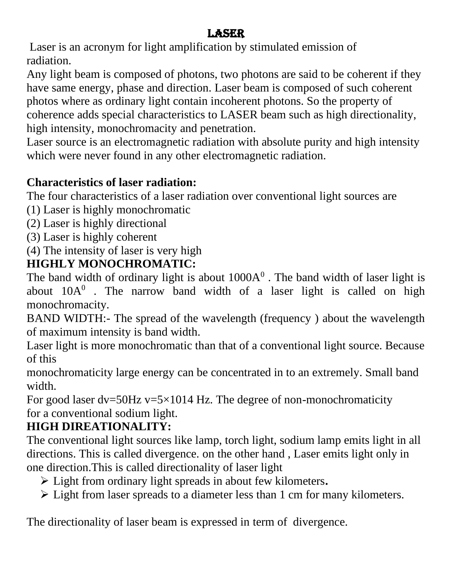## **LASER**

Laser is an acronym for light amplification by stimulated emission of radiation.

Any light beam is composed of photons, two photons are said to be coherent if they have same energy, phase and direction. Laser beam is composed of such coherent photos where as ordinary light contain incoherent photons. So the property of coherence adds special characteristics to LASER beam such as high directionality, high intensity, monochromacity and penetration.

Laser source is an electromagnetic radiation with absolute purity and high intensity which were never found in any other electromagnetic radiation.

### **Characteristics of laser radiation:**

The four characteristics of a laser radiation over conventional light sources are

- (1) Laser is highly monochromatic
- (2) Laser is highly directional
- (3) Laser is highly coherent
- (4) The intensity of laser is very high

## **HIGHLY MONOCHROMATIC:**

The band width of ordinary light is about  $1000A<sup>0</sup>$ . The band width of laser light is about  $10A<sup>0</sup>$  . The narrow band width of a laser light is called on high monochromacity.

BAND WIDTH:- The spread of the wavelength (frequency ) about the wavelength of maximum intensity is band width.

Laser light is more monochromatic than that of a conventional light source. Because of this

monochromaticity large energy can be concentrated in to an extremely. Small band width.

For good laser  $dv = 50Hz$  v=5×1014 Hz. The degree of non-monochromaticity for a conventional sodium light.

## **HIGH DIREATIONALITY:**

The conventional light sources like lamp, torch light, sodium lamp emits light in all directions. This is called divergence. on the other hand , Laser emits light only in one direction.This is called directionality of laser light

- ➢ Light from ordinary light spreads in about few kilometers**.**
- ➢ Light from laser spreads to a diameter less than 1 cm for many kilometers.

The directionality of laser beam is expressed in term of divergence.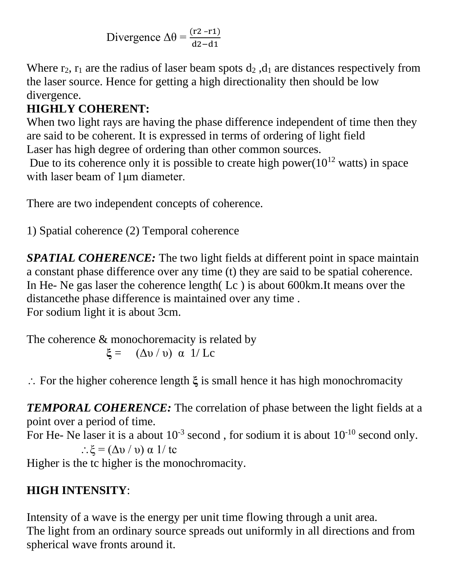Divergence  $\Delta\theta = \frac{(r2 - r1)}{dz - d1}$ 

Where  $r_2$ ,  $r_1$  are the radius of laser beam spots  $d_2$ ,  $d_1$  are distances respectively from the laser source. Hence for getting a high directionality then should be low divergence.

## **HIGHLY COHERENT:**

When two light rays are having the phase difference independent of time then they are said to be coherent. It is expressed in terms of ordering of light field Laser has high degree of ordering than other common sources.

Due to its coherence only it is possible to create high power( $10^{12}$  watts) in space with laser beam of 1μm diameter.

There are two independent concepts of coherence.

1) Spatial coherence (2) Temporal coherence

*SPATIAL COHERENCE:* The two light fields at different point in space maintain a constant phase difference over any time (t) they are said to be spatial coherence. In He- Ne gas laser the coherence length( Lc ) is about 600km.It means over the distancethe phase difference is maintained over any time . For sodium light it is about 3cm.

The coherence  $\&$  monochoremacity is related by **ξ** = (Δυ / υ) α 1/ Lc

For the higher coherence length **ξ** is small hence it has high monochromacity

*TEMPORAL COHERENCE:* The correlation of phase between the light fields at a point over a period of time.

For He- Ne laser it is a about  $10^{-3}$  second, for sodium it is about  $10^{-10}$  second only. :  $\xi = (\Delta v / v) \alpha$  1/ tc

Higher is the tc higher is the monochromacity.

# **HIGH INTENSITY**:

Intensity of a wave is the energy per unit time flowing through a unit area. The light from an ordinary source spreads out uniformly in all directions and from spherical wave fronts around it.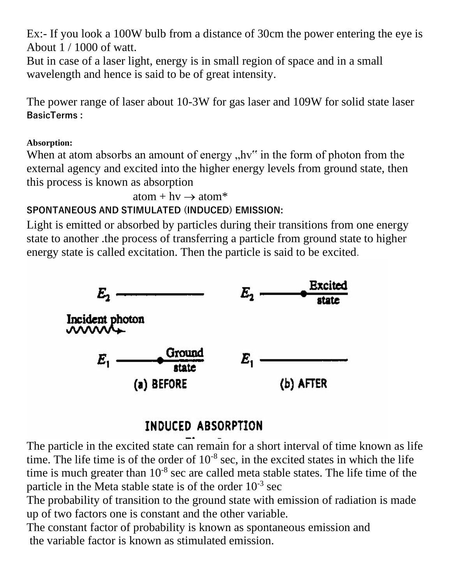Ex:- If you look a 100W bulb from a distance of 30cm the power entering the eye is About 1 / 1000 of watt.

But in case of a laser light, energy is in small region of space and in a small wavelength and hence is said to be of great intensity.

The power range of laser about 10-3W for gas laser and 109W for solid state laser **BasicTerms :**

#### **Absorption:**

When at atom absorbs an amount of energy  $n$ ,  $h\nu$ <sup>\*\*</sup> in the form of photon from the external agency and excited into the higher energy levels from ground state, then this process is known as absorption

 $atom + hv \rightarrow atom^*$ 

### **SPONTANEOUS AND STIMULATED (INDUCED) EMISSION:**

Light is emitted or absorbed by particles during their transitions from one energy state to another .the process of transferring a particle from ground state to higher energy state is called excitation. Then the particle is said to be excited.



# INDUCED ABSORPTION

The particle in the excited state can remain for a short interval of time known as life time. The life time is of the order of  $10^{-8}$  sec, in the excited states in which the life time is much greater than  $10^{-8}$  sec are called meta stable states. The life time of the particle in the Meta stable state is of the order  $10^{-3}$  sec

The probability of transition to the ground state with emission of radiation is made up of two factors one is constant and the other variable.

The constant factor of probability is known as spontaneous emission and the variable factor is known as stimulated emission.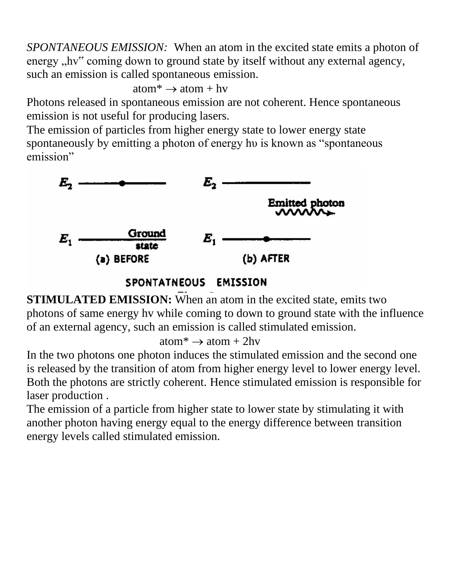*SPONTANEOUS EMISSION:* When an atom in the excited state emits a photon of energy , hv" coming down to ground state by itself without any external agency, such an emission is called spontaneous emission.

 $atom^* \rightarrow atom + hv$ 

Photons released in spontaneous emission are not coherent. Hence spontaneous emission is not useful for producing lasers.

The emission of particles from higher energy state to lower energy state spontaneously by emitting a photon of energy hu is known as "spontaneous" emission"



**STIMULATED EMISSION:** When an atom in the excited state, emits two photons of same energy hv while coming to down to ground state with the influence of an external agency, such an emission is called stimulated emission.

 $atom^* \rightarrow atom + 2hv$ 

In the two photons one photon induces the stimulated emission and the second one is released by the transition of atom from higher energy level to lower energy level. Both the photons are strictly coherent. Hence stimulated emission is responsible for laser production .

The emission of a particle from higher state to lower state by stimulating it with another photon having energy equal to the energy difference between transition energy levels called stimulated emission.